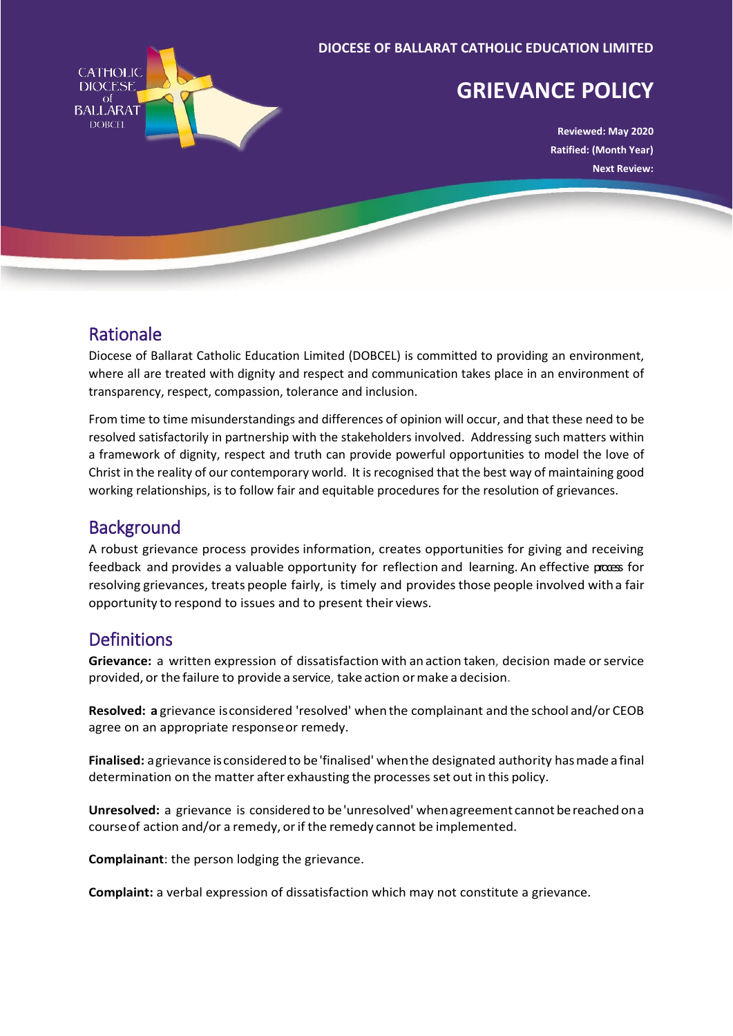

# Rationale

Diocese of Ballarat Catholic Education Limited (DOBCEL) is committed to providing an environment, where all are treated with dignity and respect and communication takes place in an environment of transparency, respect, compassion, tolerance and inclusion.

From time to time misunderstandings and differences of opinion will occur, and that these need to be resolved satisfactorily in partnership with the stakeholders involved. Addressing such matters within a framework of dignity, respect and truth can provide powerful opportunities to model the love of Christ in the reality of our contemporary world. It is recognised that the best way of maintaining good working relationships, is to follow fair and equitable procedures for the resolution of grievances.

# **Background**

A robust grievance process provides information, creates opportunities for giving and receiving feedback and provides a valuable opportunity for reflection and learning. An effective process for resolving grievances, treats people fairly, is timely and provides those people involved with a fair opportunity to respond to issues and to present their views.

# **Definitions**

**Grievance:** a written expression of dissatisfaction with an action taken, decision made orservice provided, or the failure to provide a service, take action ormake a decision.

**Resolved: a** grievance isconsidered 'resolved' when the complainant and the school and/or CEOB agree on an appropriate responseor remedy.

**Finalised:** agrievance isconsideredto be'finalised' whenthe designated authority hasmade a final determination on the matter after exhausting the processes set out in this policy.

**Unresolved:** a grievance is considered to be'unresolved' whenagreement cannot bereached ona course of action and/or a remedy, or if the remedy cannot be implemented.

**Complainant**: the person lodging the grievance.

**Complaint:** a verbal expression of dissatisfaction which may not constitute a grievance.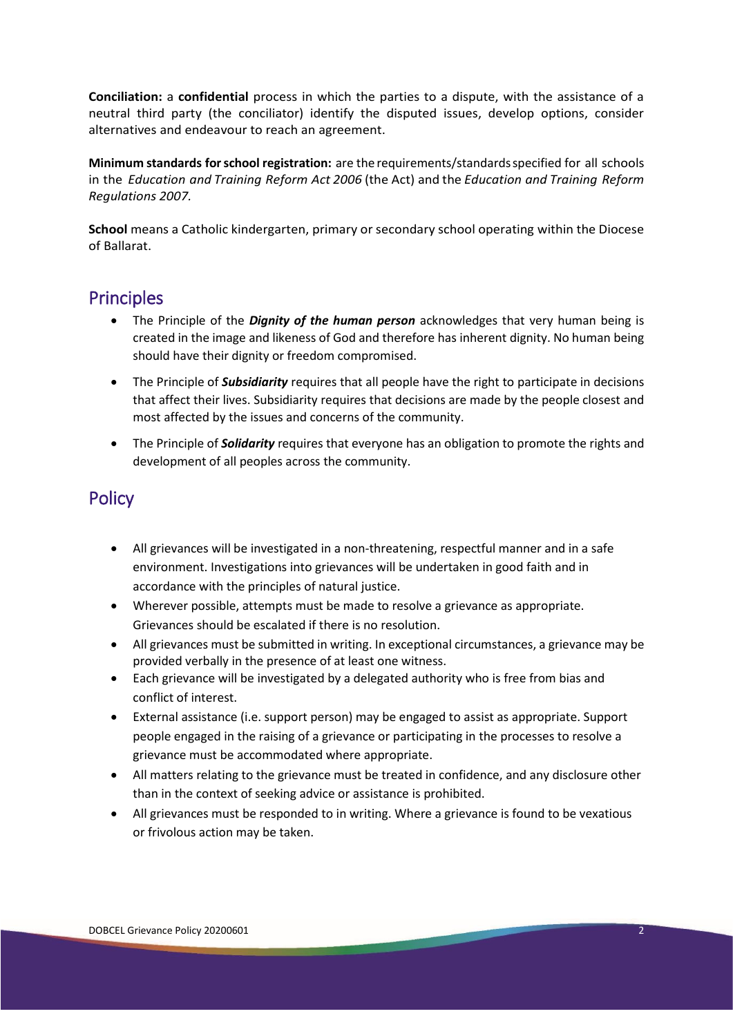**Conciliation:** a **confidential** process in which the parties to a dispute, with the assistance of a neutral third party (the conciliator) identify the disputed issues, develop options, consider alternatives and endeavour to reach an agreement.

**Minimum standards forschool registration:** are the requirements/standardsspecified for all schools in the *Education and Training Reform Act 2006* (the Act) and the *Education and Training Reform Regulations 2007.*

**School** means a Catholic kindergarten, primary or secondary school operating within the Diocese of Ballarat.

#### **Principles**

- The Principle of the *Dignity of the human person* acknowledges that very human being is created in the image and likeness of God and therefore has inherent dignity. No human being should have their dignity or freedom compromised.
- The Principle of *Subsidiarity* requires that all people have the right to participate in decisions that affect their lives. Subsidiarity requires that decisions are made by the people closest and most affected by the issues and concerns of the community.
- The Principle of *Solidarity* requires that everyone has an obligation to promote the rights and development of all peoples across the community.

## **Policy**

- All grievances will be investigated in a non-threatening, respectful manner and in a safe environment. Investigations into grievances will be undertaken in good faith and in accordance with the principles of natural justice.
- Wherever possible, attempts must be made to resolve a grievance as appropriate. Grievances should be escalated if there is no resolution.
- All grievances must be submitted in writing. In exceptional circumstances, a grievance may be provided verbally in the presence of at least one witness.
- Each grievance will be investigated by a delegated authority who is free from bias and conflict of interest.
- External assistance (i.e. support person) may be engaged to assist as appropriate. Support people engaged in the raising of a grievance or participating in the processes to resolve a grievance must be accommodated where appropriate.
- All matters relating to the grievance must be treated in confidence, and any disclosure other than in the context of seeking advice or assistance is prohibited.
- All grievances must be responded to in writing. Where a grievance is found to be vexatious or frivolous action may be taken.